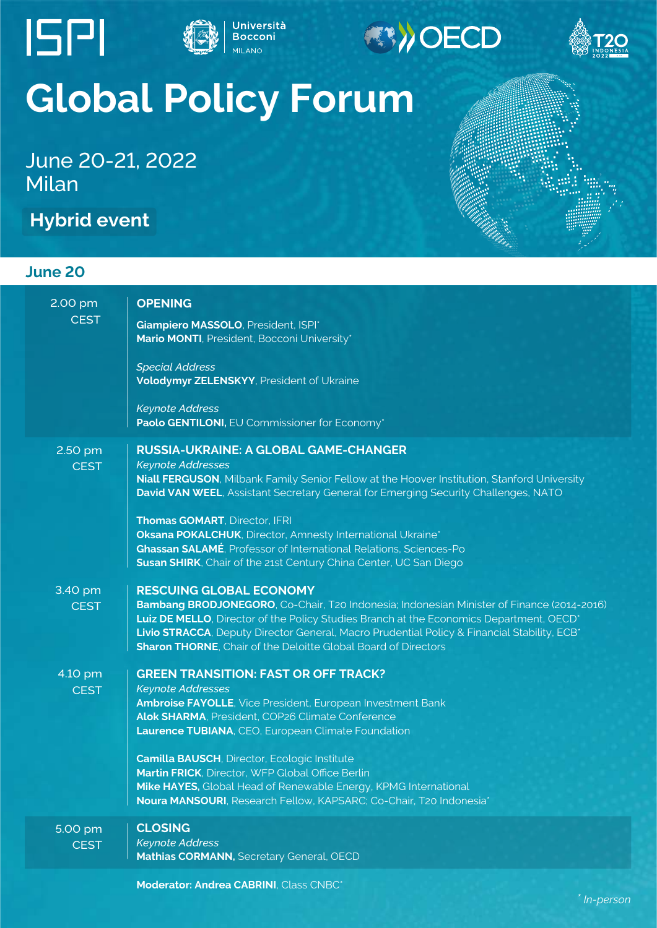



(S)OECD



## **Global Policy Forum**

June 20-21, 2022 Milan

**Hybrid event**

## **June 20**

| 2.00 pm<br><b>CEST</b> | <b>OPENING</b><br>Giampiero MASSOLO, President, ISPI*<br>Mario MONTI, President, Bocconi University*<br><b>Special Address</b><br>Volodymyr ZELENSKYY, President of Ukraine<br><b>Keynote Address</b><br>Paolo GENTILONI, EU Commissioner for Economy*                                                                                                                                                                                                                                                                |
|------------------------|-----------------------------------------------------------------------------------------------------------------------------------------------------------------------------------------------------------------------------------------------------------------------------------------------------------------------------------------------------------------------------------------------------------------------------------------------------------------------------------------------------------------------|
| 2.50 pm<br><b>CEST</b> | <b>RUSSIA-UKRAINE: A GLOBAL GAME-CHANGER</b><br><b>Keynote Addresses</b><br>Niall FERGUSON, Milbank Family Senior Fellow at the Hoover Institution, Stanford University<br>David VAN WEEL, Assistant Secretary General for Emerging Security Challenges, NATO<br><b>Thomas GOMART, Director, IFRI</b><br>Oksana POKALCHUK, Director, Amnesty International Ukraine*<br><b>Ghassan SALAMÉ</b> , Professor of International Relations, Sciences-Po<br>Susan SHIRK, Chair of the 21st Century China Center, UC San Diego |
| 3.40 pm<br><b>CEST</b> | <b>RESCUING GLOBAL ECONOMY</b><br>Bambang BRODJONEGORO, Co-Chair, T20 Indonesia; Indonesian Minister of Finance (2014-2016)<br>Luiz DE MELLO, Director of the Policy Studies Branch at the Economics Department, OECD*<br>Livio STRACCA, Deputy Director General, Macro Prudential Policy & Financial Stability, ECB*<br><b>Sharon THORNE, Chair of the Deloitte Global Board of Directors</b>                                                                                                                        |
| 4.10 pm<br><b>CEST</b> | <b>GREEN TRANSITION: FAST OR OFF TRACK?</b><br><b>Keynote Addresses</b><br><b>Ambroise FAYOLLE, Vice President, European Investment Bank</b><br>Alok SHARMA, President, COP26 Climate Conference<br>Laurence TUBIANA, CEO, European Climate Foundation<br>Camilla BAUSCH, Director, Ecologic Institute<br>Martin FRICK, Director, WFP Global Office Berlin<br>Mike HAYES, Global Head of Renewable Energy, KPMG International<br>Noura MANSOURI, Research Fellow, KAPSARC; Co-Chair, T20 Indonesia*                   |
| 5.00 pm<br><b>CEST</b> | <b>CLOSING</b><br><b>Keynote Address</b><br>Mathias CORMANN, Secretary General, OECD                                                                                                                                                                                                                                                                                                                                                                                                                                  |
|                        | Moderator: Andrea CABRINI, Class CNBC*                                                                                                                                                                                                                                                                                                                                                                                                                                                                                |